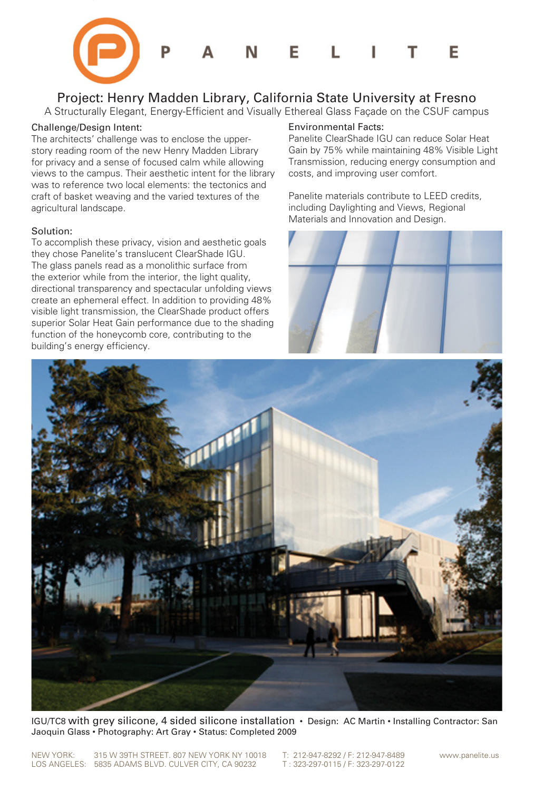

## Project: Henry Madden Library, California State University at Fresno

A Structurally Elegant, Energy-Efficient and Visually Ethereal Glass Façade on the CSUF campus

## Challenge/Design Intent:

The architects' challenge was to enclose the upperstory reading room of the new Henry Madden Library for privacy and a sense of focused calm while allowing views to the campus. Their aesthetic intent for the library was to reference two local elements: the tectonics and craft of basket weaving and the varied textures of the agricultural landscape.

## Solution:

To accomplish these privacy, vision and aesthetic goals they chose Panelite's translucent ClearShade IGU. The glass panels read as a monolithic surface from the exterior while from the interior, the light quality, directional transparency and spectacular unfolding views create an ephemeral effect. In addition to providing 48% visible light transmission, the ClearShade product offers superior Solar Heat Gain performance due to the shading function of the honeycomb core, contributing to the building's energy efficiency.

## Environmental Facts:

Panelite ClearShade IGU can reduce Solar Heat Gain by 75% while maintaining 48% Visible Light Transmission, reducing energy consumption and costs, and improving user comfort.

Panelite materials contribute to LEED credits, including Daylighting and Views, Regional Materials and Innovation and Design.





IGU/TC8 with grey silicone, 4 sided silicone installation • Design: AC Martin • Installing Contractor: San Jaoquin Glass • Photography: Art Gray • Status: Completed 2009

NEW YORK: 315 W 39TH STREET. 807 NEW YORK NY 10018 T: 212-947-8292 / F: 212-947-8489 www.panelite.us<br>LOS ANGELES: 5835 ADAMS BLVD. CULVER CITY. CA 90232 T: 323-297-0115 / F: 323-297-0122 LOS ANGELES: 5835 ADAMS BLVD. CULVER CITY, CA 90232